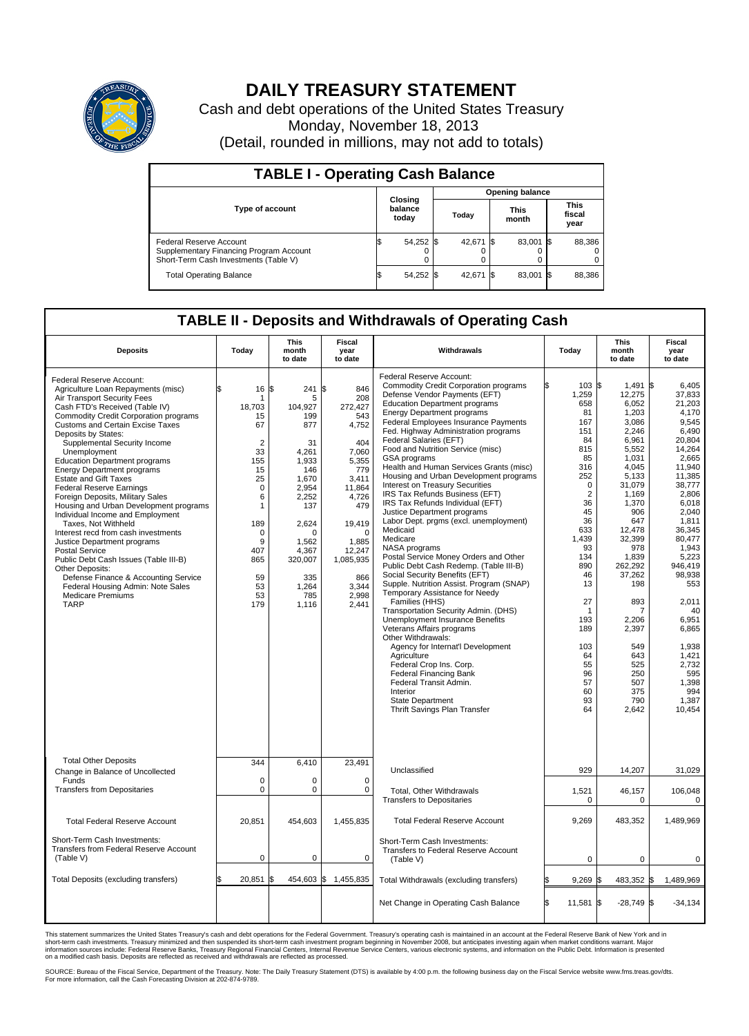

## **DAILY TREASURY STATEMENT**

Cash and debt operations of the United States Treasury Monday, November 18, 2013 (Detail, rounded in millions, may not add to totals)

| <b>TABLE I - Operating Cash Balance</b>                                                                     |                             |        |  |           |  |                      |  |                               |  |
|-------------------------------------------------------------------------------------------------------------|-----------------------------|--------|--|-----------|--|----------------------|--|-------------------------------|--|
| <b>Opening balance</b>                                                                                      |                             |        |  |           |  |                      |  |                               |  |
| <b>Type of account</b>                                                                                      | Closing<br>balance<br>today |        |  | Today     |  | <b>This</b><br>month |  | <b>This</b><br>fiscal<br>year |  |
| Federal Reserve Account<br>Supplementary Financing Program Account<br>Short-Term Cash Investments (Table V) |                             | 54,252 |  | 42.671 \$ |  | 83.001 \$            |  | 88,386                        |  |
| <b>Total Operating Balance</b>                                                                              |                             | 54,252 |  | 42,671 \$ |  | 83,001 \$            |  | 88,386                        |  |

## **TABLE II - Deposits and Withdrawals of Operating Cash**

| <b>Deposits</b>                                                                                                                                                                                                                                                                                                                                                                                                                                                                                                                                                                                                                                                                                                                                                                                                                                                 | Today                                                                                                                                                           | This<br>month<br>to date                                                                                                                                                                       | Fiscal<br>year<br>to date                                                                                                                                                                        | Withdrawals                                                                                                                                                                                                                                                                                                                                                                                                                                                                                                                                                                                                                                                                                                                                                                                                                                                                                                                                                                                                                                                                                                                                                                                                                               | Today                                                                                                                                                                                                                                                         | <b>This</b><br>month<br>to date                                                                                                                                                                                                                                                                          | <b>Fiscal</b><br>year<br>to date                                                                                                                                                                                                                                                                                            |
|-----------------------------------------------------------------------------------------------------------------------------------------------------------------------------------------------------------------------------------------------------------------------------------------------------------------------------------------------------------------------------------------------------------------------------------------------------------------------------------------------------------------------------------------------------------------------------------------------------------------------------------------------------------------------------------------------------------------------------------------------------------------------------------------------------------------------------------------------------------------|-----------------------------------------------------------------------------------------------------------------------------------------------------------------|------------------------------------------------------------------------------------------------------------------------------------------------------------------------------------------------|--------------------------------------------------------------------------------------------------------------------------------------------------------------------------------------------------|-------------------------------------------------------------------------------------------------------------------------------------------------------------------------------------------------------------------------------------------------------------------------------------------------------------------------------------------------------------------------------------------------------------------------------------------------------------------------------------------------------------------------------------------------------------------------------------------------------------------------------------------------------------------------------------------------------------------------------------------------------------------------------------------------------------------------------------------------------------------------------------------------------------------------------------------------------------------------------------------------------------------------------------------------------------------------------------------------------------------------------------------------------------------------------------------------------------------------------------------|---------------------------------------------------------------------------------------------------------------------------------------------------------------------------------------------------------------------------------------------------------------|----------------------------------------------------------------------------------------------------------------------------------------------------------------------------------------------------------------------------------------------------------------------------------------------------------|-----------------------------------------------------------------------------------------------------------------------------------------------------------------------------------------------------------------------------------------------------------------------------------------------------------------------------|
| Federal Reserve Account:<br>Agriculture Loan Repayments (misc)<br>Air Transport Security Fees<br>Cash FTD's Received (Table IV)<br>Commodity Credit Corporation programs<br><b>Customs and Certain Excise Taxes</b><br>Deposits by States:<br>Supplemental Security Income<br>Unemployment<br><b>Education Department programs</b><br><b>Energy Department programs</b><br><b>Estate and Gift Taxes</b><br><b>Federal Reserve Earnings</b><br>Foreign Deposits, Military Sales<br>Housing and Urban Development programs<br>Individual Income and Employment<br>Taxes. Not Withheld<br>Interest recd from cash investments<br>Justice Department programs<br>Postal Service<br>Public Debt Cash Issues (Table III-B)<br>Other Deposits:<br>Defense Finance & Accounting Service<br>Federal Housing Admin: Note Sales<br><b>Medicare Premiums</b><br><b>TARP</b> | 16<br>\$<br>1<br>18,703<br>15<br>67<br>$\overline{2}$<br>33<br>155<br>15<br>25<br>$\mathbf 0$<br>6<br>1<br>189<br>0<br>9<br>407<br>865<br>59<br>53<br>53<br>179 | l\$<br>241 \$<br>5<br>104,927<br>199<br>877<br>31<br>4,261<br>1.933<br>146<br>1.670<br>2,954<br>2,252<br>137<br>2.624<br>$\Omega$<br>1.562<br>4,367<br>320,007<br>335<br>1,264<br>785<br>1,116 | 846<br>208<br>272,427<br>543<br>4,752<br>404<br>7,060<br>5,355<br>779<br>3,411<br>11,864<br>4,726<br>479<br>19,419<br>$\Omega$<br>1,885<br>12,247<br>1,085,935<br>866<br>3,344<br>2,998<br>2,441 | Federal Reserve Account:<br><b>Commodity Credit Corporation programs</b><br>Defense Vendor Payments (EFT)<br><b>Education Department programs</b><br><b>Energy Department programs</b><br>Federal Employees Insurance Payments<br>Fed. Highway Administration programs<br>Federal Salaries (EFT)<br>Food and Nutrition Service (misc)<br>GSA programs<br>Health and Human Services Grants (misc)<br>Housing and Urban Development programs<br>Interest on Treasury Securities<br>IRS Tax Refunds Business (EFT)<br>IRS Tax Refunds Individual (EFT)<br>Justice Department programs<br>Labor Dept. prgms (excl. unemployment)<br>Medicaid<br>Medicare<br>NASA programs<br>Postal Service Money Orders and Other<br>Public Debt Cash Redemp. (Table III-B)<br>Social Security Benefits (EFT)<br>Supple. Nutrition Assist. Program (SNAP)<br>Temporary Assistance for Needy<br>Families (HHS)<br>Transportation Security Admin. (DHS)<br>Unemployment Insurance Benefits<br>Veterans Affairs programs<br>Other Withdrawals:<br>Agency for Internat'l Development<br>Agriculture<br>Federal Crop Ins. Corp.<br><b>Federal Financing Bank</b><br>Federal Transit Admin.<br>Interior<br><b>State Department</b><br>Thrift Savings Plan Transfer | Ŝ.<br>103S<br>1,259<br>658<br>81<br>167<br>151<br>84<br>815<br>85<br>316<br>252<br>$\mathbf 0$<br>$\overline{2}$<br>36<br>45<br>36<br>633<br>1,439<br>93<br>134<br>890<br>46<br>13<br>27<br>-1<br>193<br>189<br>103<br>64<br>55<br>96<br>57<br>60<br>93<br>64 | $1.491$ \\$<br>12,275<br>6.052<br>1,203<br>3,086<br>2,246<br>6,961<br>5,552<br>1,031<br>4.045<br>5,133<br>31,079<br>1,169<br>1,370<br>906<br>647<br>12,478<br>32,399<br>978<br>1,839<br>262.292<br>37,262<br>198<br>893<br>7<br>2,206<br>2,397<br>549<br>643<br>525<br>250<br>507<br>375<br>790<br>2,642 | 6.405<br>37,833<br>21.203<br>4,170<br>9.545<br>6,490<br>20,804<br>14,264<br>2,665<br>11.940<br>11,385<br>38,777<br>2,806<br>6.018<br>2,040<br>1,811<br>36.345<br>80,477<br>1,943<br>5,223<br>946.419<br>98.938<br>553<br>2,011<br>40<br>6,951<br>6,865<br>1,938<br>1,421<br>2,732<br>595<br>1,398<br>994<br>1,387<br>10,454 |
| <b>Total Other Deposits</b><br>Change in Balance of Uncollected                                                                                                                                                                                                                                                                                                                                                                                                                                                                                                                                                                                                                                                                                                                                                                                                 | 344                                                                                                                                                             | 6,410                                                                                                                                                                                          | 23,491                                                                                                                                                                                           | Unclassified                                                                                                                                                                                                                                                                                                                                                                                                                                                                                                                                                                                                                                                                                                                                                                                                                                                                                                                                                                                                                                                                                                                                                                                                                              | 929                                                                                                                                                                                                                                                           | 14,207                                                                                                                                                                                                                                                                                                   | 31,029                                                                                                                                                                                                                                                                                                                      |
| Funds<br><b>Transfers from Depositaries</b>                                                                                                                                                                                                                                                                                                                                                                                                                                                                                                                                                                                                                                                                                                                                                                                                                     | $\mathbf 0$<br>$\pmb{0}$                                                                                                                                        | $\Omega$<br>$\pmb{0}$                                                                                                                                                                          | $\Omega$<br>0                                                                                                                                                                                    | Total, Other Withdrawals<br><b>Transfers to Depositaries</b>                                                                                                                                                                                                                                                                                                                                                                                                                                                                                                                                                                                                                                                                                                                                                                                                                                                                                                                                                                                                                                                                                                                                                                              | 1,521<br>$\mathbf 0$                                                                                                                                                                                                                                          | 46,157<br>$\mathbf 0$                                                                                                                                                                                                                                                                                    | 106,048<br>$\mathbf 0$                                                                                                                                                                                                                                                                                                      |
| <b>Total Federal Reserve Account</b>                                                                                                                                                                                                                                                                                                                                                                                                                                                                                                                                                                                                                                                                                                                                                                                                                            | 20,851                                                                                                                                                          | 454,603                                                                                                                                                                                        | 1,455,835                                                                                                                                                                                        | <b>Total Federal Reserve Account</b>                                                                                                                                                                                                                                                                                                                                                                                                                                                                                                                                                                                                                                                                                                                                                                                                                                                                                                                                                                                                                                                                                                                                                                                                      | 9,269                                                                                                                                                                                                                                                         | 483,352                                                                                                                                                                                                                                                                                                  | 1,489,969                                                                                                                                                                                                                                                                                                                   |
| Short-Term Cash Investments:<br>Transfers from Federal Reserve Account<br>(Table V)                                                                                                                                                                                                                                                                                                                                                                                                                                                                                                                                                                                                                                                                                                                                                                             | $\mathbf 0$                                                                                                                                                     | $\mathbf 0$                                                                                                                                                                                    | $\mathbf 0$                                                                                                                                                                                      | Short-Term Cash Investments:<br>Transfers to Federal Reserve Account<br>(Table V)                                                                                                                                                                                                                                                                                                                                                                                                                                                                                                                                                                                                                                                                                                                                                                                                                                                                                                                                                                                                                                                                                                                                                         | 0                                                                                                                                                                                                                                                             | $\mathbf 0$                                                                                                                                                                                                                                                                                              | $\Omega$                                                                                                                                                                                                                                                                                                                    |
| Total Deposits (excluding transfers)                                                                                                                                                                                                                                                                                                                                                                                                                                                                                                                                                                                                                                                                                                                                                                                                                            | 20,851                                                                                                                                                          | l\$                                                                                                                                                                                            | 454,603 \$ 1,455,835                                                                                                                                                                             | Total Withdrawals (excluding transfers)                                                                                                                                                                                                                                                                                                                                                                                                                                                                                                                                                                                                                                                                                                                                                                                                                                                                                                                                                                                                                                                                                                                                                                                                   | 9,269<br>ß.                                                                                                                                                                                                                                                   | 483,352<br>\$                                                                                                                                                                                                                                                                                            | 1,489,969<br>l\$                                                                                                                                                                                                                                                                                                            |
|                                                                                                                                                                                                                                                                                                                                                                                                                                                                                                                                                                                                                                                                                                                                                                                                                                                                 |                                                                                                                                                                 |                                                                                                                                                                                                |                                                                                                                                                                                                  | Net Change in Operating Cash Balance                                                                                                                                                                                                                                                                                                                                                                                                                                                                                                                                                                                                                                                                                                                                                                                                                                                                                                                                                                                                                                                                                                                                                                                                      | Ŝ.<br>11,581 \$                                                                                                                                                                                                                                               | $-28.749$ \$                                                                                                                                                                                                                                                                                             | $-34,134$                                                                                                                                                                                                                                                                                                                   |

This statement summarizes the United States Treasury's cash and debt operations for the Federal Government. Treasury's operating cash is maintained in an account at the Federal Reserve Bank of New York and in<br>short-term ca

SOURCE: Bureau of the Fiscal Service, Department of the Treasury. Note: The Daily Treasury Statement (DTS) is available by 4:00 p.m. the following business day on the Fiscal Service website www.fms.treas.gov/dts.<br>For more